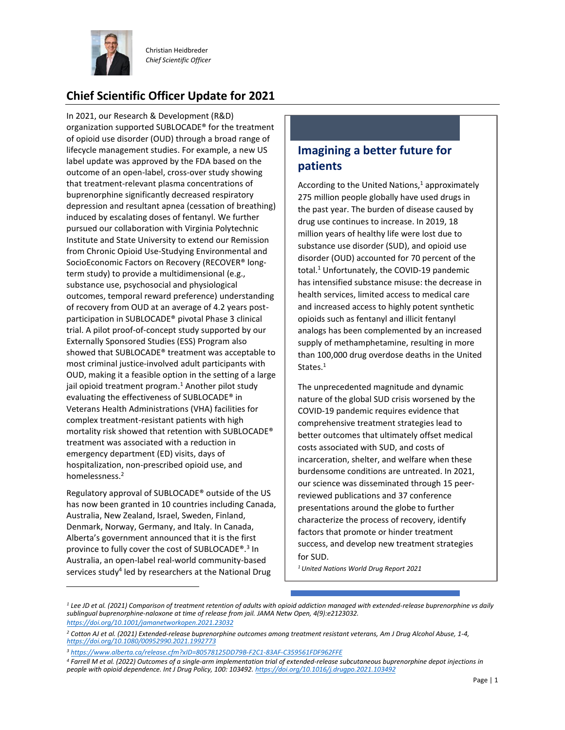

Christian Heidbreder *Chief Scientific Officer*

## **Chief Scientific Officer Update for 2021**

In 2021, our Research & Development (R&D) organization supported SUBLOCADE® for the treatment of opioid use disorder (OUD) through a broad range of lifecycle management studies. For example, a new US label update was approved by the FDA based on the outcome of an open-label, cross-over study showing that treatment-relevant plasma concentrations of buprenorphine significantly decreased respiratory depression and resultant apnea (cessation of breathing) induced by escalating doses of fentanyl. We further pursued our collaboration with Virginia Polytechnic Institute and State University to extend our Remission from Chronic Opioid Use-Studying Environmental and SocioEconomic Factors on Recovery (RECOVER® longterm study) to provide a multidimensional (e.g., substance use, psychosocial and physiological outcomes, temporal reward preference) understanding of recovery from OUD at an average of 4.2 years postparticipation in SUBLOCADE® pivotal Phase 3 clinical trial. A pilot proof-of-concept study supported by our Externally Sponsored Studies (ESS) Program also showed that SUBLOCADE® treatment was acceptable to most criminal justice-involved adult participants with OUD, making it a feasible option in the setting of a large jail opioid treatment program. <sup>1</sup> Another pilot study evaluating the effectiveness of SUBLOCADE® in Veterans Health Administrations (VHA) facilities for complex treatment-resistant patients with high mortality risk showed that retention with SUBLOCADE® treatment was associated with a reduction in emergency department (ED) visits, days of hospitalization, non-prescribed opioid use, and homelessness.<sup>2</sup>

Regulatory approval of SUBLOCADE® outside of the US has now been granted in 10 countries including Canada, Australia, New Zealand, Israel, Sweden, Finland, Denmark, Norway, Germany, and Italy. In Canada, Alberta's government announced that it is the first province to fully cover the cost of SUBLOCADE®.<sup>3</sup> In Australia, an open-label real-world community-based services study<sup>4</sup> led by researchers at the National Drug

## **Imagining a better future for patients**

According to the United Nations, $1$  approximately 275 million people globally have used drugs in the past year. The burden of disease caused by drug use continues to increase. In 2019, 18 million years of healthy life were lost due to substance use disorder (SUD), and opioid use disorder (OUD) accounted for 70 percent of the total.<sup>1</sup> Unfortunately, the COVID-19 pandemic has intensified substance misuse: the decrease in health services, limited access to medical care and increased access to highly potent synthetic opioids such as fentanyl and illicit fentanyl analogs has been complemented by an increased supply of methamphetamine, resulting in more than 100,000 drug overdose deaths in the United States.<sup>1</sup>

The unprecedented magnitude and dynamic nature of the global SUD crisis worsened by the COVID-19 pandemic requires evidence that comprehensive treatment strategies lead to better outcomes that ultimately offset medical costs associated with SUD, and costs of incarceration, shelter, and welfare when these burdensome conditions are untreated. In 2021, our science was disseminated through 15 peerreviewed publications and 37 conference presentations around the globe to further characterize the process of recovery, identify factors that promote or hinder treatment success, and develop new treatment strategies for SUD.

*<sup>1</sup>United Nations World Drug Report 2021*

*<sup>1</sup> Lee JD et al. (2021) Comparison of treatment retention of adults with opioid addiction managed with extended-release buprenorphine vs daily [sublingual buprenorphine-naloxone at time of release fro](https://doi.org/10.1001/jamanetworkopen.2021.23032)m jail. JAMA Netw Open, 4(9):e2123032. https://doi.org/10.1001/jamanetworkopen.2021.23032*

*<sup>2</sup> [Cotton AJ et al. \(2021\) Extended-release buprenor](https://doi.org/10.1080/00952990.2021.1992773)phine outcomes among treatment resistant veterans, Am J Drug Alcohol Abuse, 1-4, [https://doi.org/10.1080/00952990.2021.1992773](https://www.alberta.ca/release.cfm?xID=80578125DD79B-F2C1-83AF-C359561FDF962FFE)*

*<sup>3</sup> https://www.alberta.ca/release.cfm?xID=80578125DD79B-F2C1-83AF-C359561FDF962FFE*

*<sup>4</sup> Farrell M et al. (2022) Outcomes of a single-arm implementa[tion trial of extended-release subcutaneous bupre](https://doi.org/10.1016/j.drugpo.2021.103492)norphine depot injections in people with opioid dependence. Int J Drug Policy, 100: 103492. https://doi.org/10.1016/j.drugpo.2021.103492*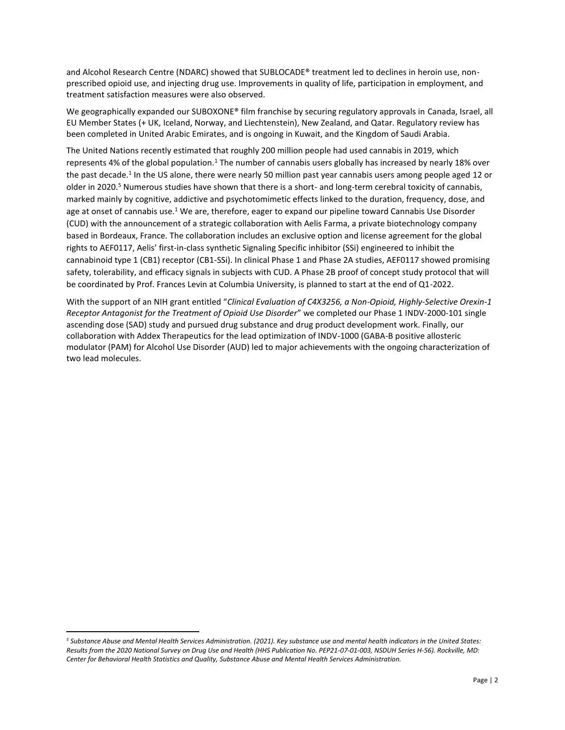and Alcohol Research Centre (NDARC) showed that SUBLOCADE® treatment led to declines in heroin use, nonprescribed opioid use, and injecting drug use. Improvements in quality of life, participation in employment, and treatment satisfaction measures were also observed.

We geographically expanded our SUBOXONE® film franchise by securing regulatory approvals in Canada, Israel, all EU Member States (+ UK, Iceland, Norway, and Liechtenstein), New Zealand, and Qatar. Regulatory review has been completed in United Arabic Emirates, and is ongoing in Kuwait, and the Kingdom of Saudi Arabia.

The United Nations recently estimated that roughly 200 million people had used cannabis in 2019, which represents 4% of the global population.<sup>1</sup> The number of cannabis users globally has increased by nearly 18% over the past decade.<sup>1</sup> In the US alone, there were nearly 50 million past year cannabis users among people aged 12 or older in 2020.<sup>5</sup> Numerous studies have shown that there is a short- and long-term cerebral toxicity of cannabis, marked mainly by cognitive, addictive and psychotomimetic effects linked to the duration, frequency, dose, and age at onset of cannabis use.<sup>1</sup> We are, therefore, eager to expand our pipeline toward Cannabis Use Disorder (CUD) with the announcement of a strategic collaboration with Aelis Farma, a private biotechnology company based in Bordeaux, France. The collaboration includes an exclusive option and license agreement for the global rights to AEF0117, Aelis' first-in-class synthetic Signaling Specific inhibitor (SSi) engineered to inhibit the cannabinoid type 1 (CB1) receptor (CB1-SSi). In clinical Phase 1 and Phase 2A studies, AEF0117 showed promising safety, tolerability, and efficacy signals in subjects with CUD. A Phase 2B proof of concept study protocol that will be coordinated by Prof. Frances Levin at Columbia University, is planned to start at the end of Q1-2022.

With the support of an NIH grant entitled "*Clinical Evaluation of C4X3256, a Non-Opioid, Highly-Selective Orexin-1 Receptor Antagonist for the Treatment of Opioid Use Disorder*" we completed our Phase 1 INDV-2000-101 single ascending dose (SAD) study and pursued drug substance and drug product development work. Finally, our collaboration with Addex Therapeutics for the lead optimization of INDV-1000 (GABA-B positive allosteric modulator (PAM) for Alcohol Use Disorder (AUD) led to major achievements with the ongoing characterization of two lead molecules.

*<sup>5</sup> Substance Abuse and Mental Health Services Administration. (2021). Key substance use and mental health indicators in the United States: Results from the 2020 National Survey on Drug Use and Health (HHS Publication No. PEP21-07-01-003, NSDUH Series H-56). Rockville, MD: Center for Behavioral Health Statistics and Quality, Substance Abuse and Mental Health Services Administration.*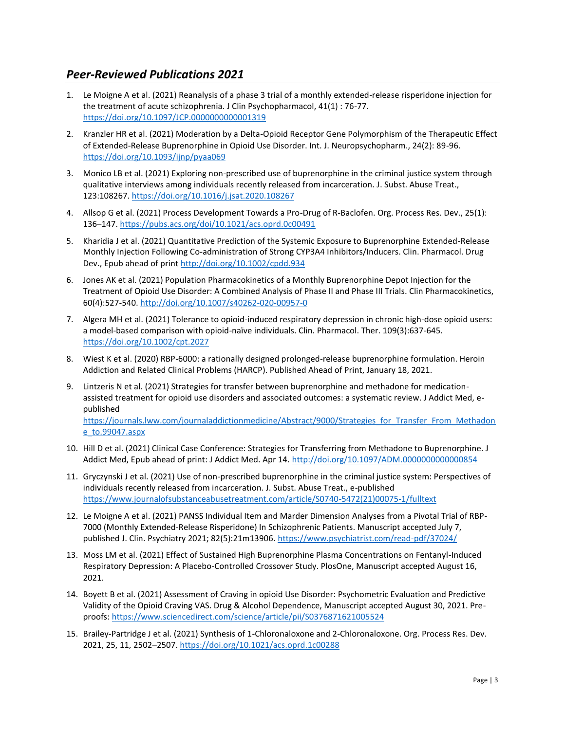## *Peer-Reviewed Publications 2021*

- 1. Le Moigne A et al. (2021) Reanalysis of a phase 3 trial of a monthly extended-release risperidone injection for the treatment of acute schizophrenia. J Clin Psychopharmacol, 41(1) : 76-77. <https://doi.org/10.1097/JCP.0000000000001319>
- 2. Kranzler HR et al. (2021) Moderation by a Delta-Opioid Receptor Gene Polymorphism of the Therapeutic Effect of Extended-Release Buprenorphine in Opioid Use Disorder. Int. J. Neuropsychopharm., 24(2): 89-96. <https://doi.org/10.1093/ijnp/pyaa069>
- 3. Monico LB et al. (2021) Exploring non-prescribed use of buprenorphine in the criminal justice system through qualitative interviews among individuals recently released from incarceration. J. Subst. Abuse Treat., 123:108267.<https://doi.org/10.1016/j.jsat.2020.108267>
- 4. Allsop G et al. (2021) Process Development Towards a Pro-Drug of R-Baclofen. Org. Process Res. Dev., 25(1): 136–147.<https://pubs.acs.org/doi/10.1021/acs.oprd.0c00491>
- 5. Kharidia J et al. (2021) Quantitative Prediction of the Systemic Exposure to Buprenorphine Extended-Release Monthly Injection Following Co-administration of Strong CYP3A4 Inhibitors/Inducers. Clin. Pharmacol. Drug Dev., Epub ahead of prin[t http://doi.org/10.1002/cpdd.934](http://doi.org/10.1002/cpdd.934)
- 6. Jones AK et al. (2021) Population Pharmacokinetics of a Monthly Buprenorphine Depot Injection for the Treatment of Opioid Use Disorder: A Combined Analysis of Phase II and Phase III Trials. Clin Pharmacokinetics, 60(4):527-540.<http://doi.org/10.1007/s40262-020-00957-0>
- 7. Algera MH et al. (2021) Tolerance to opioid-induced respiratory depression in chronic high-dose opioid users: a model-based comparison with opioid-naïve individuals. Clin. Pharmacol. Ther. 109(3):637-645. <https://doi.org/10.1002/cpt.2027>
- 8. Wiest K et al. (2020) RBP-6000: a rationally designed prolonged-release buprenorphine formulation. Heroin Addiction and Related Clinical Problems (HARCP). Published Ahead of Print, January 18, 2021.
- 9. Lintzeris N et al. (2021) Strategies for transfer between buprenorphine and methadone for medicationassisted treatment for opioid use disorders and associated outcomes: a systematic review. J Addict Med, epublished https://journals.lww.com/journaladdictionmedicine/Abstract/9000/Strategies for Transfer From Methadon [e\\_to.99047.aspx](https://journals.lww.com/journaladdictionmedicine/Abstract/9000/Strategies_for_Transfer_From_Methadone_to.99047.aspx)
- 10. Hill D et al. (2021) Clinical Case Conference: Strategies for Transferring from Methadone to Buprenorphine. J Addict Med, Epub ahead of print: J Addict Med. Apr 14[. http://doi.org/10.1097/ADM.0000000000000854](http://doi.org/10.1097/ADM.0000000000000854)
- 11. Gryczynski J et al. (2021) Use of non-prescribed buprenorphine in the criminal justice system: Perspectives of individuals recently released from incarceration. J. Subst. Abuse Treat., e-published [https://www.journalofsubstanceabusetreatment.com/article/S0740-5472\(21\)00075-1/fulltext](https://www.journalofsubstanceabusetreatment.com/article/S0740-5472(21)00075-1/fulltext)
- 12. Le Moigne A et al. (2021) PANSS Individual Item and Marder Dimension Analyses from a Pivotal Trial of RBP-7000 (Monthly Extended-Release Risperidone) In Schizophrenic Patients. Manuscript accepted July 7, published J. Clin. Psychiatry 2021; 82(5):21m13906.<https://www.psychiatrist.com/read-pdf/37024/>
- 13. Moss LM et al. (2021) Effect of Sustained High Buprenorphine Plasma Concentrations on Fentanyl-Induced Respiratory Depression: A Placebo-Controlled Crossover Study. PlosOne, Manuscript accepted August 16, 2021.
- 14. Boyett B et al. (2021) Assessment of Craving in opioid Use Disorder: Psychometric Evaluation and Predictive Validity of the Opioid Craving VAS. Drug & Alcohol Dependence, Manuscript accepted August 30, 2021. Preproofs:<https://www.sciencedirect.com/science/article/pii/S0376871621005524>
- 15. Brailey-Partridge J et al. (2021) Synthesis of 1-Chloronaloxone and 2-Chloronaloxone. Org. Process Res. Dev. 2021, 25, 11, 2502–2507.<https://doi.org/10.1021/acs.oprd.1c00288>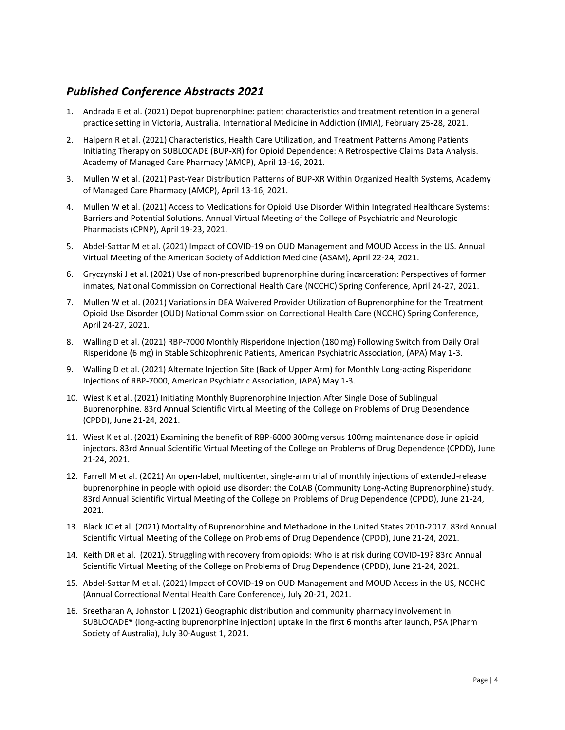## *Published Conference Abstracts 2021*

- 1. Andrada E et al. (2021) Depot buprenorphine: patient characteristics and treatment retention in a general practice setting in Victoria, Australia. International Medicine in Addiction (IMIA), February 25-28, 2021.
- 2. Halpern R et al. (2021) Characteristics, Health Care Utilization, and Treatment Patterns Among Patients Initiating Therapy on SUBLOCADE (BUP-XR) for Opioid Dependence: A Retrospective Claims Data Analysis. Academy of Managed Care Pharmacy (AMCP), April 13-16, 2021.
- 3. Mullen W et al. (2021) Past-Year Distribution Patterns of BUP-XR Within Organized Health Systems, Academy of Managed Care Pharmacy (AMCP), April 13-16, 2021.
- 4. Mullen W et al. (2021) Access to Medications for Opioid Use Disorder Within Integrated Healthcare Systems: Barriers and Potential Solutions. Annual Virtual Meeting of the College of Psychiatric and Neurologic Pharmacists (CPNP), April 19-23, 2021.
- 5. Abdel-Sattar M et al. (2021) Impact of COVID-19 on OUD Management and MOUD Access in the US. Annual Virtual Meeting of the American Society of Addiction Medicine (ASAM), April 22-24, 2021.
- 6. Gryczynski J et al. (2021) Use of non-prescribed buprenorphine during incarceration: Perspectives of former inmates, National Commission on Correctional Health Care (NCCHC) Spring Conference, April 24-27, 2021.
- 7. Mullen W et al. (2021) Variations in DEA Waivered Provider Utilization of Buprenorphine for the Treatment Opioid Use Disorder (OUD) National Commission on Correctional Health Care (NCCHC) Spring Conference, April 24-27, 2021.
- 8. Walling D et al. (2021) RBP-7000 Monthly Risperidone Injection (180 mg) Following Switch from Daily Oral Risperidone (6 mg) in Stable Schizophrenic Patients, American Psychiatric Association, (APA) May 1-3.
- 9. Walling D et al. (2021) Alternate Injection Site (Back of Upper Arm) for Monthly Long-acting Risperidone Injections of RBP-7000, American Psychiatric Association, (APA) May 1-3.
- 10. Wiest K et al. (2021) Initiating Monthly Buprenorphine Injection After Single Dose of Sublingual Buprenorphine. 83rd Annual Scientific Virtual Meeting of the College on Problems of Drug Dependence (CPDD), June 21-24, 2021.
- 11. Wiest K et al. (2021) Examining the benefit of RBP-6000 300mg versus 100mg maintenance dose in opioid injectors. 83rd Annual Scientific Virtual Meeting of the College on Problems of Drug Dependence (CPDD), June 21-24, 2021.
- 12. Farrell M et al. (2021) An open-label, multicenter, single-arm trial of monthly injections of extended-release buprenorphine in people with opioid use disorder: the CoLAB (Community Long-Acting Buprenorphine) study. 83rd Annual Scientific Virtual Meeting of the College on Problems of Drug Dependence (CPDD), June 21-24, 2021.
- 13. Black JC et al. (2021) Mortality of Buprenorphine and Methadone in the United States 2010-2017. 83rd Annual Scientific Virtual Meeting of the College on Problems of Drug Dependence (CPDD), June 21-24, 2021.
- 14. Keith DR et al. (2021). Struggling with recovery from opioids: Who is at risk during COVID-19? 83rd Annual Scientific Virtual Meeting of the College on Problems of Drug Dependence (CPDD), June 21-24, 2021.
- 15. Abdel-Sattar M et al. (2021) Impact of COVID-19 on OUD Management and MOUD Access in the US, NCCHC (Annual Correctional Mental Health Care Conference), July 20-21, 2021.
- 16. Sreetharan A, Johnston L (2021) Geographic distribution and community pharmacy involvement in SUBLOCADE® (long-acting buprenorphine injection) uptake in the first 6 months after launch, PSA (Pharm Society of Australia), July 30-August 1, 2021.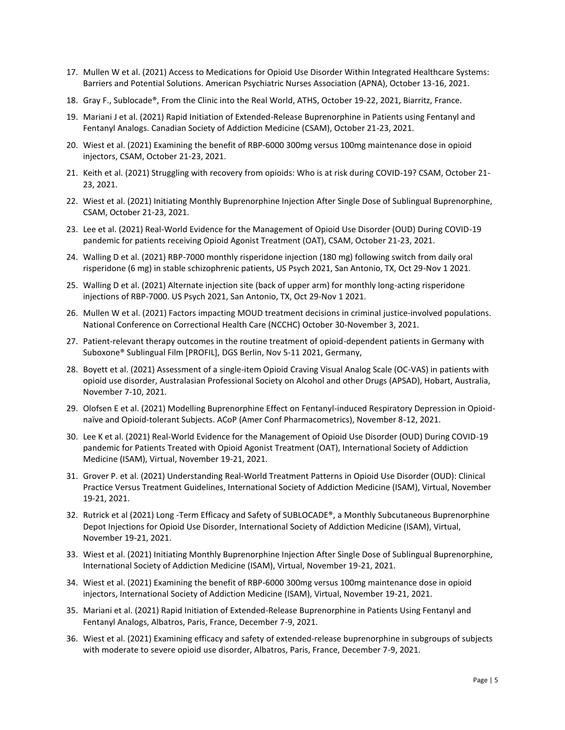- 17. Mullen W et al. (2021) Access to Medications for Opioid Use Disorder Within Integrated Healthcare Systems: Barriers and Potential Solutions. American Psychiatric Nurses Association (APNA), October 13-16, 2021.
- 18. Gray F., Sublocade®, From the Clinic into the Real World, ATHS, October 19-22, 2021, Biarritz, France.
- 19. Mariani J et al. (2021) Rapid Initiation of Extended-Release Buprenorphine in Patients using Fentanyl and Fentanyl Analogs. Canadian Society of Addiction Medicine (CSAM), October 21-23, 2021.
- 20. Wiest et al. (2021) Examining the benefit of RBP-6000 300mg versus 100mg maintenance dose in opioid injectors, CSAM, October 21-23, 2021.
- 21. Keith et al. (2021) Struggling with recovery from opioids: Who is at risk during COVID-19? CSAM, October 21- 23, 2021.
- 22. Wiest et al. (2021) Initiating Monthly Buprenorphine Injection After Single Dose of Sublingual Buprenorphine, CSAM, October 21-23, 2021.
- 23. Lee et al. (2021) Real-World Evidence for the Management of Opioid Use Disorder (OUD) During COVID-19 pandemic for patients receiving Opioid Agonist Treatment (OAT), CSAM, October 21-23, 2021.
- 24. Walling D et al. (2021) RBP-7000 monthly risperidone injection (180 mg) following switch from daily oral risperidone (6 mg) in stable schizophrenic patients, US Psych 2021, San Antonio, TX, Oct 29-Nov 1 2021.
- 25. Walling D et al. (2021) Alternate injection site (back of upper arm) for monthly long-acting risperidone injections of RBP-7000. US Psych 2021, San Antonio, TX, Oct 29-Nov 1 2021.
- 26. Mullen W et al. (2021) Factors impacting MOUD treatment decisions in criminal justice-involved populations. National Conference on Correctional Health Care (NCCHC) October 30-November 3, 2021.
- 27. Patient-relevant therapy outcomes in the routine treatment of opioid-dependent patients in Germany with Suboxone® Sublingual Film [PROFIL], DGS Berlin, Nov 5-11 2021, Germany,
- 28. Boyett et al. (2021) Assessment of a single-item Opioid Craving Visual Analog Scale (OC-VAS) in patients with opioid use disorder, Australasian Professional Society on Alcohol and other Drugs (APSAD), Hobart, Australia, November 7-10, 2021.
- 29. Olofsen E et al. (2021) Modelling Buprenorphine Effect on Fentanyl-induced Respiratory Depression in Opioidnaïve and Opioid-tolerant Subjects. ACoP (Amer Conf Pharmacometrics), November 8-12, 2021.
- 30. Lee K et al. (2021) Real-World Evidence for the Management of Opioid Use Disorder (OUD) During COVID-19 pandemic for Patients Treated with Opioid Agonist Treatment (OAT), International Society of Addiction Medicine (ISAM), Virtual, November 19-21, 2021.
- 31. Grover P. et al. (2021) Understanding Real-World Treatment Patterns in Opioid Use Disorder (OUD): Clinical Practice Versus Treatment Guidelines, International Society of Addiction Medicine (ISAM), Virtual, November 19-21, 2021.
- 32. Rutrick et al (2021) Long -Term Efficacy and Safety of SUBLOCADE®, a Monthly Subcutaneous Buprenorphine Depot Injections for Opioid Use Disorder, International Society of Addiction Medicine (ISAM), Virtual, November 19-21, 2021.
- 33. Wiest et al. (2021) Initiating Monthly Buprenorphine Injection After Single Dose of Sublingual Buprenorphine, International Society of Addiction Medicine (ISAM), Virtual, November 19-21, 2021.
- 34. Wiest et al. (2021) Examining the benefit of RBP-6000 300mg versus 100mg maintenance dose in opioid injectors, International Society of Addiction Medicine (ISAM), Virtual, November 19-21, 2021.
- 35. Mariani et al. (2021) Rapid Initiation of Extended-Release Buprenorphine in Patients Using Fentanyl and Fentanyl Analogs, Albatros, Paris, France, December 7-9, 2021.
- 36. Wiest et al. (2021) Examining efficacy and safety of extended-release buprenorphine in subgroups of subjects with moderate to severe opioid use disorder, Albatros, Paris, France, December 7-9, 2021.